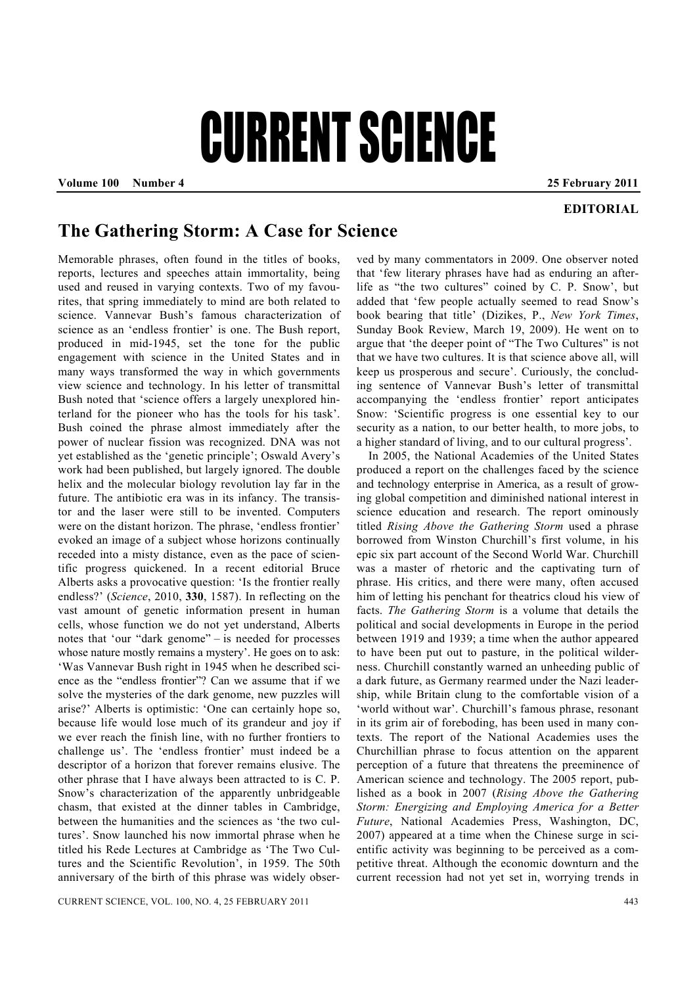## CURRENT SCIENCE

**Volume 100 Number 4 25 February 2011** 

## **EDITORIAL**

## **The Gathering Storm: A Case for Science**

Memorable phrases, often found in the titles of books, reports, lectures and speeches attain immortality, being used and reused in varying contexts. Two of my favourites, that spring immediately to mind are both related to science. Vannevar Bush's famous characterization of science as an 'endless frontier' is one. The Bush report, produced in mid-1945, set the tone for the public engagement with science in the United States and in many ways transformed the way in which governments view science and technology. In his letter of transmittal Bush noted that 'science offers a largely unexplored hinterland for the pioneer who has the tools for his task'. Bush coined the phrase almost immediately after the power of nuclear fission was recognized. DNA was not yet established as the 'genetic principle'; Oswald Avery's work had been published, but largely ignored. The double helix and the molecular biology revolution lay far in the future. The antibiotic era was in its infancy. The transistor and the laser were still to be invented. Computers were on the distant horizon. The phrase, 'endless frontier' evoked an image of a subject whose horizons continually receded into a misty distance, even as the pace of scientific progress quickened. In a recent editorial Bruce Alberts asks a provocative question: 'Is the frontier really endless?' (*Science*, 2010, **330**, 1587). In reflecting on the vast amount of genetic information present in human cells, whose function we do not yet understand, Alberts notes that 'our "dark genome" – is needed for processes whose nature mostly remains a mystery'. He goes on to ask: 'Was Vannevar Bush right in 1945 when he described science as the "endless frontier"? Can we assume that if we solve the mysteries of the dark genome, new puzzles will arise?' Alberts is optimistic: 'One can certainly hope so, because life would lose much of its grandeur and joy if we ever reach the finish line, with no further frontiers to challenge us'. The 'endless frontier' must indeed be a descriptor of a horizon that forever remains elusive. The other phrase that I have always been attracted to is C. P. Snow's characterization of the apparently unbridgeable chasm, that existed at the dinner tables in Cambridge, between the humanities and the sciences as 'the two cultures'. Snow launched his now immortal phrase when he titled his Rede Lectures at Cambridge as 'The Two Cultures and the Scientific Revolution', in 1959. The 50th anniversary of the birth of this phrase was widely obser-

ved by many commentators in 2009. One observer noted that 'few literary phrases have had as enduring an afterlife as "the two cultures" coined by C. P. Snow', but added that 'few people actually seemed to read Snow's book bearing that title' (Dizikes, P., *New York Times*, Sunday Book Review, March 19, 2009). He went on to argue that 'the deeper point of "The Two Cultures" is not that we have two cultures. It is that science above all, will keep us prosperous and secure'. Curiously, the concluding sentence of Vannevar Bush's letter of transmittal accompanying the 'endless frontier' report anticipates Snow: 'Scientific progress is one essential key to our security as a nation, to our better health, to more jobs, to a higher standard of living, and to our cultural progress'.

 In 2005, the National Academies of the United States produced a report on the challenges faced by the science and technology enterprise in America, as a result of growing global competition and diminished national interest in science education and research. The report ominously titled *Rising Above the Gathering Storm* used a phrase borrowed from Winston Churchill's first volume, in his epic six part account of the Second World War. Churchill was a master of rhetoric and the captivating turn of phrase. His critics, and there were many, often accused him of letting his penchant for theatrics cloud his view of facts. *The Gathering Storm* is a volume that details the political and social developments in Europe in the period between 1919 and 1939; a time when the author appeared to have been put out to pasture, in the political wilderness. Churchill constantly warned an unheeding public of a dark future, as Germany rearmed under the Nazi leadership, while Britain clung to the comfortable vision of a 'world without war'. Churchill's famous phrase, resonant in its grim air of foreboding, has been used in many contexts. The report of the National Academies uses the Churchillian phrase to focus attention on the apparent perception of a future that threatens the preeminence of American science and technology. The 2005 report, published as a book in 2007 (*Rising Above the Gathering Storm: Energizing and Employing America for a Better Future*, National Academies Press, Washington, DC, 2007) appeared at a time when the Chinese surge in scientific activity was beginning to be perceived as a competitive threat. Although the economic downturn and the current recession had not yet set in, worrying trends in